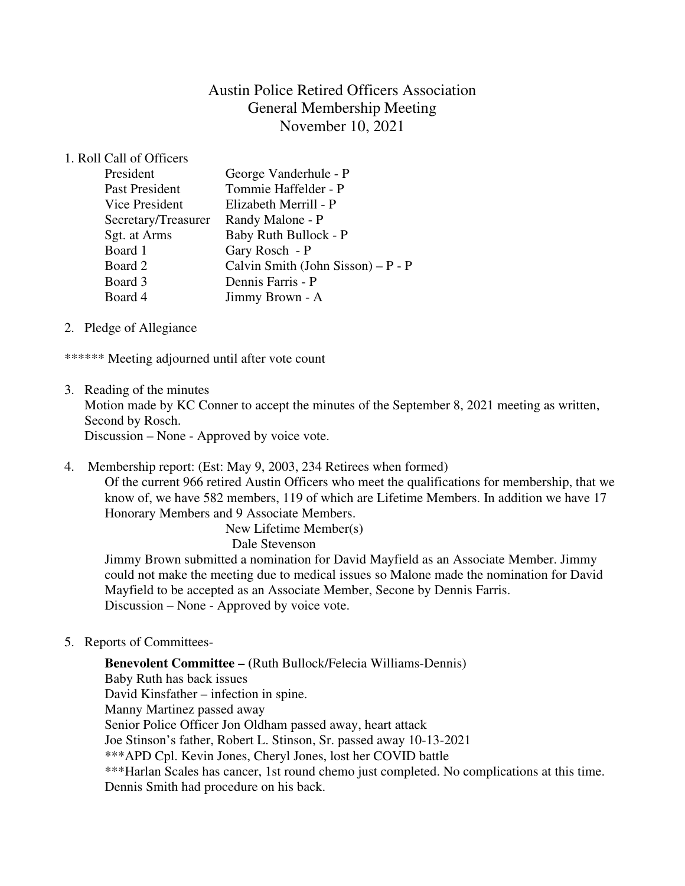# Austin Police Retired Officers Association General Membership Meeting November 10, 2021

# 1. Roll Call of Officers

| President           | George Vanderhule - P              |
|---------------------|------------------------------------|
| Past President      | Tommie Haffelder - P               |
| Vice President      | Elizabeth Merrill - P              |
| Secretary/Treasurer | Randy Malone - P                   |
| Sgt. at Arms        | <b>Baby Ruth Bullock - P</b>       |
| Board 1             | Gary Rosch - P                     |
| Board 2             | Calvin Smith (John Sisson) – P - P |
| Board 3             | Dennis Farris - P                  |
| Board 4             | Jimmy Brown - A                    |

2. Pledge of Allegiance

\*\*\*\*\*\* Meeting adjourned until after vote count

3. Reading of the minutes

Motion made by KC Conner to accept the minutes of the September 8, 2021 meeting as written, Second by Rosch.

Discussion – None - Approved by voice vote.

4. Membership report: (Est: May 9, 2003, 234 Retirees when formed)

Of the current 966 retired Austin Officers who meet the qualifications for membership, that we know of, we have 582 members, 119 of which are Lifetime Members. In addition we have 17 Honorary Members and 9 Associate Members.

New Lifetime Member(s)

Dale Stevenson

Jimmy Brown submitted a nomination for David Mayfield as an Associate Member. Jimmy could not make the meeting due to medical issues so Malone made the nomination for David Mayfield to be accepted as an Associate Member, Secone by Dennis Farris. Discussion – None - Approved by voice vote.

5. Reports of Committees-

**Benevolent Committee – (**Ruth Bullock/Felecia Williams-Dennis) Baby Ruth has back issues David Kinsfather – infection in spine. Manny Martinez passed away Senior Police Officer Jon Oldham passed away, heart attack Joe Stinson's father, Robert L. Stinson, Sr. passed away 10-13-2021 \*\*\*APD Cpl. Kevin Jones, Cheryl Jones, lost her COVID battle \*\*\*Harlan Scales has cancer, 1st round chemo just completed. No complications at this time. Dennis Smith had procedure on his back.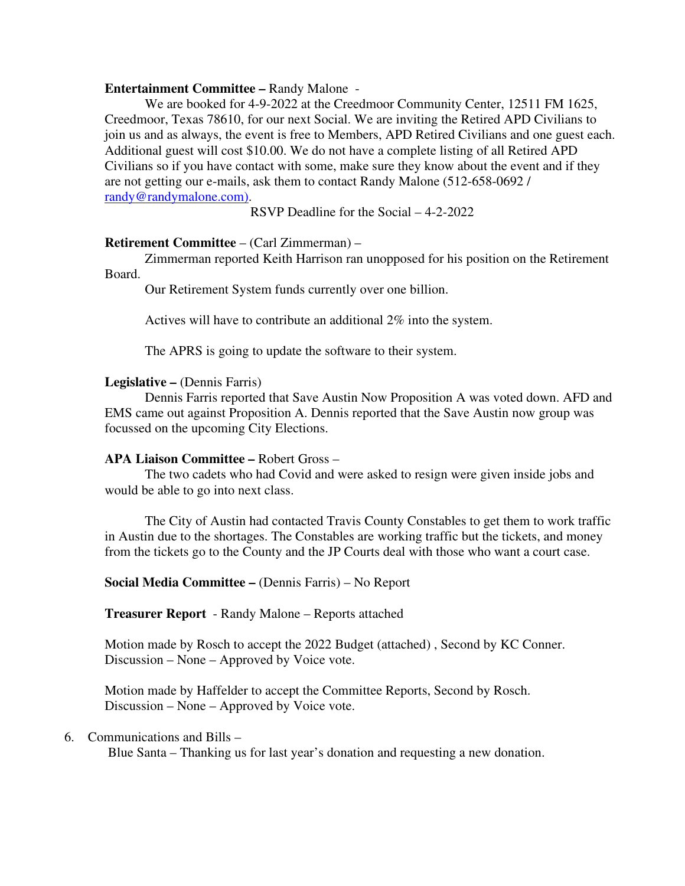#### **Entertainment Committee –** Randy Malone -

We are booked for 4-9-2022 at the Creedmoor Community Center, 12511 FM 1625, Creedmoor, Texas 78610, for our next Social. We are inviting the Retired APD Civilians to join us and as always, the event is free to Members, APD Retired Civilians and one guest each. Additional guest will cost \$10.00. We do not have a complete listing of all Retired APD Civilians so if you have contact with some, make sure they know about the event and if they are not getting our e-mails, ask them to contact Randy Malone (512-658-0692 / randy@randymalone.com).

RSVP Deadline for the Social – 4-2-2022

# **Retirement Committee** – (Carl Zimmerman) –

Zimmerman reported Keith Harrison ran unopposed for his position on the Retirement Board.

Our Retirement System funds currently over one billion.

Actives will have to contribute an additional 2% into the system.

The APRS is going to update the software to their system.

#### Legislative – (Dennis Farris)

Dennis Farris reported that Save Austin Now Proposition A was voted down. AFD and EMS came out against Proposition A. Dennis reported that the Save Austin now group was focussed on the upcoming City Elections.

# **APA Liaison Committee –** Robert Gross –

The two cadets who had Covid and were asked to resign were given inside jobs and would be able to go into next class.

 The City of Austin had contacted Travis County Constables to get them to work traffic in Austin due to the shortages. The Constables are working traffic but the tickets, and money from the tickets go to the County and the JP Courts deal with those who want a court case.

**Social Media Committee –** (Dennis Farris) – No Report

**Treasurer Report** - Randy Malone – Reports attached

Motion made by Rosch to accept the 2022 Budget (attached) , Second by KC Conner. Discussion – None – Approved by Voice vote.

Motion made by Haffelder to accept the Committee Reports, Second by Rosch. Discussion – None – Approved by Voice vote.

# 6. Communications and Bills –

Blue Santa – Thanking us for last year's donation and requesting a new donation.